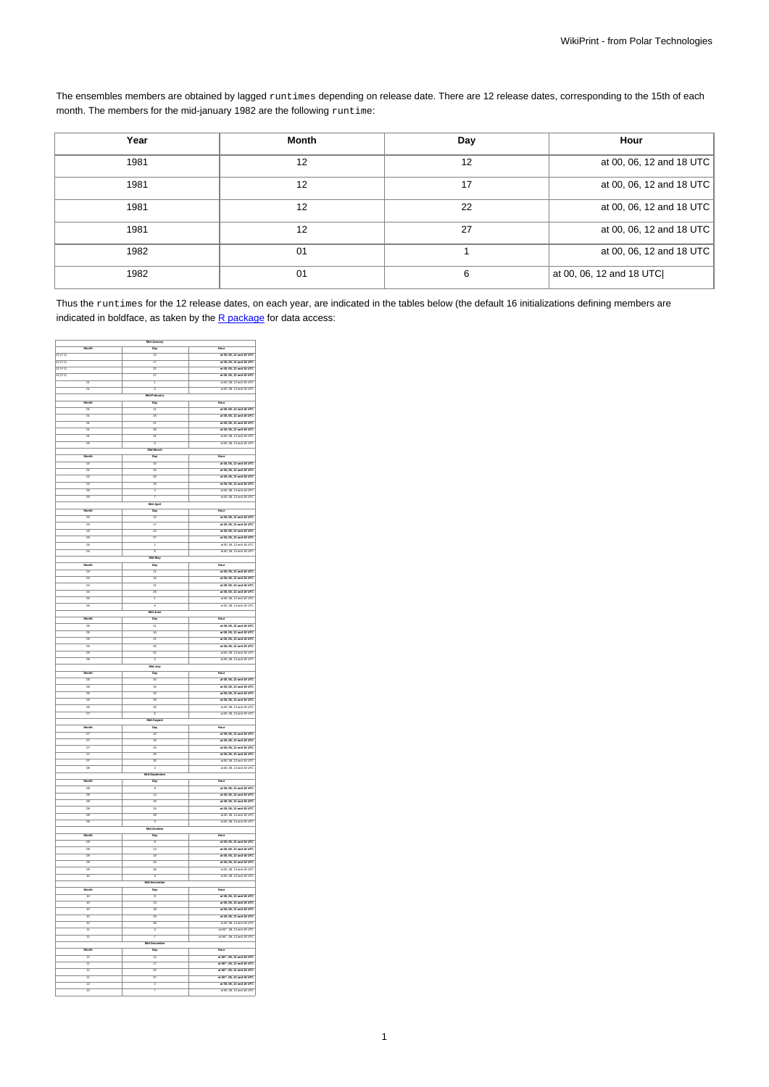The ensembles members are obtained by lagged runtimes depending on release date. There are 12 release dates, corresponding to the 15th of each month. The members for the mid-january 1982 are the following runtime:

| Year | Month | Day | Hour                     |
|------|-------|-----|--------------------------|
| 1981 | 12    | 12  | at 00, 06, 12 and 18 UTC |
| 1981 | 12    | 17  | at 00, 06, 12 and 18 UTC |
| 1981 | 12    | 22  | at 00, 06, 12 and 18 UTC |
| 1981 | 12    | 27  | at 00, 06, 12 and 18 UTC |
| 1982 | 01    |     | at 00, 06, 12 and 18 UTC |
| 1982 | 01    | 6   | at 00, 06, 12 and 18 UTC |

Thus the runtimes for the 12 release dates, on each year, are indicated in the tables below (the default 16 initializations defining members are indicated in boldface, as taken by the  $R$  package for data access:

|                          | 5                         |                                                                                  |
|--------------------------|---------------------------|----------------------------------------------------------------------------------|
| $\overline{M}$           | Day                       |                                                                                  |
| $12 (Y-1)$               | 12                        | at 00, 06, 12 and 18 UTC                                                         |
| 12(14)                   | 17                        | at 00, 06, 12 and 18 UTC                                                         |
| 12(14)                   | 22                        | at 00, 06, 12 and 18 UTC                                                         |
| 12(14)                   | 27                        | at 00, 06, 12 and 18 UTC                                                         |
| ō                        | ī                         | at 00, 06, 12 and 18 UTC                                                         |
| ö                        | ë                         | at 00. 06. 12 and 18 UTC                                                         |
|                          | Mid-February              |                                                                                  |
| Mooth                    | Day                       | Hour                                                                             |
| $\overline{01}$          | $\overline{11}$           | at 00, 06, 12 and 18 UTC                                                         |
| $\overline{a}$           | $\frac{1}{16}$            | at 00, 06, 12 and 18 UTC                                                         |
| $\overline{a}$           | $\frac{1}{21}$            | at 00, 06, 12 and 18 UTC                                                         |
| $\overline{a}$           | $\frac{1}{28}$            | at 00, 06, 12 and 18 UTC                                                         |
| $\overline{a}$           | 31                        | at 00, 08, 12 and 18 UTC                                                         |
| ā                        | 5                         | at 00, 06, 12 and 18 UTC                                                         |
|                          | $\frac{1}{2}$             |                                                                                  |
|                          | Day                       | Hour                                                                             |
| 02                       | $\frac{1}{10}$            | at 00, 06, 12 and 18 UTC                                                         |
| $\overline{a}$           | 15                        | at 00, 06, 12 and 18 UTC                                                         |
| $\overline{a}$           | 20                        | at 00, 06, 12 and 18 UTC                                                         |
| $\overline{a}$           | $\overline{25}$           | at 00, 06, 12 and 18 UTC                                                         |
| $\overline{a}$           | 5                         | at 00, 06, 12 and 18 UTC                                                         |
| $\overline{a}$           | 7                         | at 00. 06. 12 and 18 UTC                                                         |
|                          | ä.                        |                                                                                  |
|                          | $\overline{p}$            | Hour                                                                             |
| $\overline{a}$           | 75                        | at 00, 06, 12 and 18 UTC                                                         |
| 6                        | 17                        | at 00, 06, 12 and 18 UTC                                                         |
| $\overline{a}$           | 72                        | at 00, 06, 12 and 18 UTC                                                         |
| 6                        | 27                        | at 00, 06, 12 and 18 UTC                                                         |
| $\overline{a}$           | ī                         | at 00, 06, 12 and 18 UTC                                                         |
| $\overline{a}$           | e                         | at 00, 06, 12 and 18 UTC                                                         |
|                          | lid-May                   |                                                                                  |
|                          |                           |                                                                                  |
|                          | Day                       | Hour                                                                             |
| $\overline{a}$           | $\overline{11}$           | at 00, 06, 12 and 18 UTC                                                         |
| $\overline{a}$           | 16                        | at 00, 06, 12 and 18 UTC                                                         |
| $\overline{a}$           | $\overline{21}$           | at 00, 06, 12 and 18 UTC                                                         |
| $\overline{a}$           | $\frac{1}{20}$            | at 00, 06, 12 and 18 UTC                                                         |
| $\overline{a}$           | ī                         | at 00, 06, 12 and 18 UTC                                                         |
| $\overline{a}$           | ā                         | at 00, 06, 12 and 18 UTC                                                         |
|                          | $M_1$                     |                                                                                  |
|                          | Day                       | Hour                                                                             |
| $\overline{a}$           | $\overline{11}$           | at 00, 06, 12 and 18 UTC                                                         |
| $\overline{a}$           | $\frac{1}{16}$            | at 00, 06, 12 and 18 UTC                                                         |
| $\overline{a}$           | $\frac{1}{21}$            | at 00, 06, 12 and 18 UTC                                                         |
| $\overline{\alpha}$      | 26                        | at 00, 06, 12 and 18 UTC                                                         |
| $\overline{a}$           | 31                        | at 00, 08, 12 and 18 UTC                                                         |
| $\overline{\alpha}$      | 5                         | at 00, 06, 12 and 18 UTC                                                         |
|                          |                           |                                                                                  |
|                          | d-July                    |                                                                                  |
| Month                    | Day                       | Hour                                                                             |
| $\overline{\alpha}$      | $\overline{10}$           | at 00, 06, 12 and 18 UTC                                                         |
| $\overline{\alpha}$      | $\overline{15}$           | at 00, 06, 12 and 18 UTC                                                         |
| $\overline{\alpha}$      | $\overline{20}$           | at 00, 06, 12 and 18 UTC                                                         |
| $\overline{\alpha}$      | $\overline{\mathfrak{m}}$ |                                                                                  |
| $\overline{\phantom{a}}$ | $\overline{\mathbf{v}}$   | at 00, 06, 12 and 18 UTC                                                         |
| $\overline{a}$           | 3                         |                                                                                  |
|                          |                           | at 00, 06, 12 and 18 UTC<br>at 00, 06, 12 and 18 UTC                             |
|                          | Aug                       |                                                                                  |
|                          | Day                       | Hour                                                                             |
| ö                        | 10                        | at 00, 06, 12 and 18 UTC                                                         |
| $\overline{a}$           | 15                        | at 00, 06, 12 and 18 UTC                                                         |
| 97                       | 20                        | at 00, 06, 12 and 18 UTC                                                         |
| $\overline{a}$           | 25                        | at 00, 06, 12 and 18 UTC                                                         |
| $\overline{a}$           | 30                        | at 00, 06, 12 and 18 UTC                                                         |
| $\overline{\alpha}$      | 7                         | at 00. 06. 12 and 18 UTC                                                         |
|                          | Mid-Sept                  |                                                                                  |
|                          | Day                       |                                                                                  |
| $\frac{1}{\sqrt{2}}$     | $\overline{ }$            | at 00, 06, 12 and 18 UTC                                                         |
| $\overline{a}$           | Ŧ.                        |                                                                                  |
| $\overline{\alpha}$      | $\overline{12}$           | at 00, 06, 12 and 18 UTC<br>at 00, 06, 12 and 18 UTC<br>at 00, 06, 12 and 18 UTC |
| œ                        | 24                        | at 00, 06, 12 and 18 UTC                                                         |
| $\overline{\alpha}$      | 79                        | at 00, 06, 12 and 18 UTC                                                         |
| $\overline{a}$           | 3                         | at 00, 06, 12 and 18 UTC                                                         |
|                          |                           |                                                                                  |
| Moort                    | <b>Day</b>                | Hour                                                                             |
| 09                       |                           | at 00, 06, 12 and 18 UTC                                                         |
| $\alpha$                 | 13                        | at 00, 06, 12 and 18 UTC                                                         |
| $\alpha$                 | 18                        | at 00, 06, 12 and 18 UTC                                                         |
| $\alpha$                 | 23                        | at 00, 06, 12 and 18 UTC                                                         |
| $\alpha$                 | 28                        | at 00, 06, 12 and 18 UTC                                                         |
| $\overline{10}$          | 3                         | at 00, 06, 12 and 18 UTC                                                         |
|                          | MÍAN                      |                                                                                  |
| $\overline{\mathbf{M}}$  | Dav                       | Hour                                                                             |
| $\frac{1}{10}$           | ī,                        | at 00, 06, 12 and 18 UTC                                                         |
| $\frac{1}{10}$           | Ŧ,                        | at 00, 06, 12 and 18 UTC                                                         |
| 10                       | 18                        | at 00, 06, 12 and 18 UTC                                                         |
| 10                       | 73                        | at 00, 06, 12 and 18 UTC                                                         |
| 10                       | 28                        |                                                                                  |
| 77                       | $\frac{1}{2}$             | at 00, 06, 12 and 18 UTC<br>at 00+, 08, 12 and 18 UTC                            |
| 11                       | 7                         | at 00+, 08, 12 and 18 UTC                                                        |
|                          |                           |                                                                                  |
| Month                    | Day                       | Hour                                                                             |
| π                        | $\overline{12}$           |                                                                                  |
| π                        | 17                        | at 00*, 06, 12 and 18 UTC<br>at 00*, 06, 12 and 18 UTC                           |
|                          |                           |                                                                                  |
| ī                        | 22                        | at 00+, 06, 12 and 18 UTC                                                        |
| π<br>75                  | 27<br>5                   | at 00+, 06, 12 and 18 UTC                                                        |
| $\frac{1}{12}$           | 7                         | at 00, 06, 12 and 18 UTC<br>at 00, 06, 12 and 18 UTC                             |